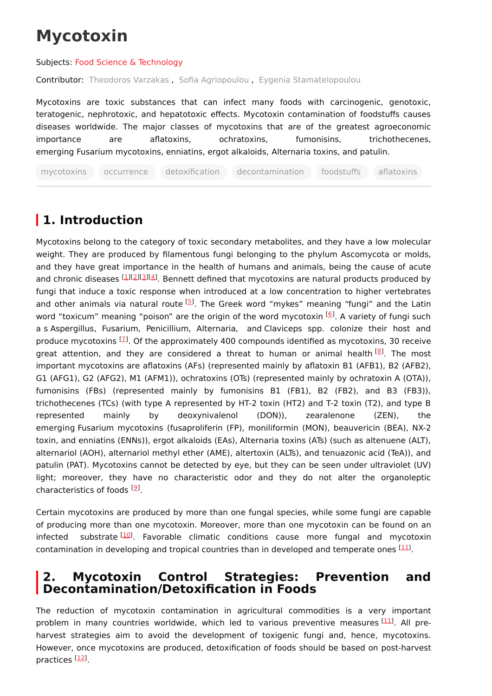# **Mycotoxin**

Subjects: Food Science & [Technology](https://encyclopedia.pub/entry/subject/201)

Contributor: [Theodoros](https://sciprofiles.com/profile/1138693) Varzakas , Sofia [Agriopoulou](https://sciprofiles.com/profile/380924) , Eygenia [Stamatelopoulou](https://sciprofiles.com/profile/978118)

Mycotoxins are toxic substances that can infect many foods with carcinogenic, genotoxic, teratogenic, nephrotoxic, and hepatotoxic effects. Mycotoxin contamination of foodstuffs causes diseases worldwide. The major classes of mycotoxins that are of the greatest agroeconomic importance are aflatoxins, ochratoxins, fumonisins, trichothecenes, emerging Fusarium mycotoxins, enniatins, ergot alkaloids, Alternaria toxins, and patulin.

mycotoxins occurrence detoxification decontamination foodstuffs aflatoxins

## **1. Introduction**

Mycotoxins belong to the category of toxic secondary metabolites, and they have a low molecular weight. They are produced by filamentous fungi belonging to the phylum Ascomycota or molds, and they have great importance in the health of humans and animals, being the cause of acute and chronic diseases [\[1](#page-6-0)][\[2](#page-6-1)][[3](#page-6-2)][\[4](#page-6-3)]. Bennett defined that mycotoxins are natural products produced by fungi that induce a toxic response when introduced at a low concentration to higher vertebrates and other animals via natural route <sup>[\[5](#page-6-4)]</sup>. The Greek word "mykes" meaning "fungi" and the Latin word "toxicum" meaning "poison" are the origin of the word mycotoxin <sup>[<u>[6](#page-6-5)</u>]</sup>. A variety of fungi such a s Aspergillus, Fusarium, Penicillium, Alternaria, and Claviceps spp. colonize their host and produce mycotoxins <sup>[2]</sup>. Of the approximately 400 compounds identified as mycotoxins, 30 receive great attention, and they are considered a threat to human or animal health<sup>[\[8](#page-7-0)]</sup>. The most important mycotoxins are aflatoxins (AFs) (represented mainly by aflatoxin B1 (AFB1), B2 (AFB2), G1 (AFG1), G2 (AFG2), M1 (AFM1)), ochratoxins (OTs) (represented mainly by ochratoxin A (OTA)), fumonisins (FBs) (represented mainly by fumonisins B1 (FB1), B2 (FB2), and B3 (FB3)), trichothecenes (TCs) (with type A represented by HT-2 toxin (HT2) and T-2 toxin (T2), and type B represented mainly by deoxynivalenol (DON)), zearalenone (ZEN), the emerging Fusarium mycotoxins (fusaproliferin (FP), moniliformin (MON), beauvericin (BEA), NX-2 toxin, and enniatins (ENNs)), ergot alkaloids (EAs), Alternaria toxins (ATs) (such as altenuene (ALT), alternariol (AOH), alternariol methyl ether (AME), altertoxin (ALTs), and tenuazonic acid (TeA)), and patulin (PAT). Mycotoxins cannot be detected by eye, but they can be seen under ultraviolet (UV) light; moreover, they have no characteristic odor and they do not alter the organoleptic characteristics of foods [\[9](#page-7-1)].

Certain mycotoxins are produced by more than one fungal species, while some fungi are capable of producing more than one mycotoxin. Moreover, more than one mycotoxin can be found on an infected substrate<sup>[\[10\]](#page-7-2)</sup>. Favorable climatic conditions cause more fungal and mycotoxin contamination in developing and tropical countries than in developed and temperate ones  $[11]$  $[11]$ .

### **2. Mycotoxin Control Strategies: Prevention and Decontamination/Detoxification in Foods**

The reduction of mycotoxin contamination in agricultural commodities is a very important problem in many countries worldwide, which led to various preventive measures [\[11](#page-7-3)]. All preharvest strategies aim to avoid the development of toxigenic fungi and, hence, mycotoxins. However, once mycotoxins are produced, detoxification of foods should be based on post-harvest practices <sup>[<u>12</u>]</sup>.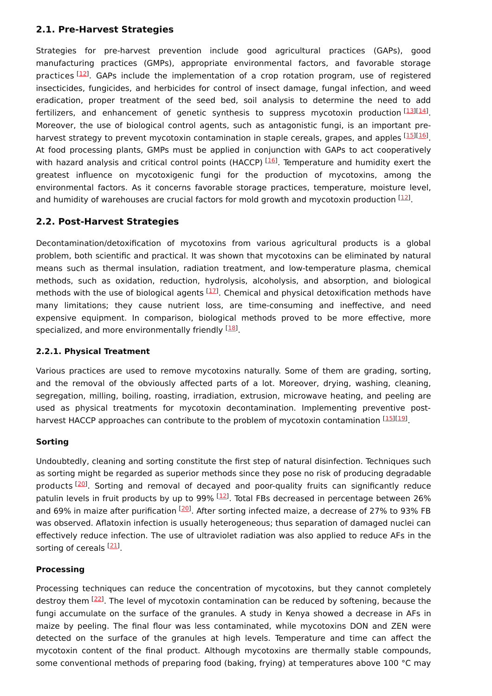#### **2.1. Pre-Harvest Strategies**

Strategies for pre-harvest prevention include good agricultural practices (GAPs), good manufacturing practices (GMPs), appropriate environmental factors, and favorable storage practices <sup>[\[12](#page-7-4)]</sup>. GAPs include the implementation of a crop rotation program, use of registered insecticides, fungicides, and herbicides for control of insect damage, fungal infection, and weed eradication, proper treatment of the seed bed, soil analysis to determine the need to add fertilizers, and enhancement of genetic synthesis to suppress mycotoxin production  $\frac{[13][14]}{]}$  $\frac{[13][14]}{]}$  $\frac{[13][14]}{]}$  $\frac{[13][14]}{]}$  $\frac{[13][14]}{]}$ . Moreover, the use of biological control agents, such as antagonistic fungi, is an important pre-harvest strategy to prevent mycotoxin contamination in staple cereals, grapes, and apples [\[15](#page-7-7)][\[16](#page-7-8)]. At food processing plants, GMPs must be applied in conjunction with GAPs to act cooperatively with hazard analysis and critical control points (HACCP) <sup>[\[16](#page-7-8)]</sup>. Temperature and humidity exert the greatest influence on mycotoxigenic fungi for the production of mycotoxins, among the environmental factors. As it concerns favorable storage practices, temperature, moisture level, and humidity of warehouses are crucial factors for mold growth and mycotoxin production  $[12]$ .

#### **2.2. Post-Harvest Strategies**

Decontamination/detoxification of mycotoxins from various agricultural products is a global problem, both scientific and practical. It was shown that mycotoxins can be eliminated by natural means such as thermal insulation, radiation treatment, and low-temperature plasma, chemical methods, such as oxidation, reduction, hydrolysis, alcoholysis, and absorption, and biological methods with the use of biological agents  $^{[17]}$  $^{[17]}$  $^{[17]}$ . Chemical and physical detoxification methods have many limitations; they cause nutrient loss, are time-consuming and ineffective, and need expensive equipment. In comparison, biological methods proved to be more effective, more specialized, and more environmentally friendly <sup>[\[18](#page-7-10)]</sup>.

#### **2.2.1. Physical Treatment**

Various practices are used to remove mycotoxins naturally. Some of them are grading, sorting, and the removal of the obviously affected parts of a lot. Moreover, drying, washing, cleaning, segregation, milling, boiling, roasting, irradiation, extrusion, microwave heating, and peeling are used as physical treatments for mycotoxin decontamination. Implementing preventive post-harvest HACCP approaches can contribute to the problem of mycotoxin contamination [[15](#page-7-7)][[19](#page-7-11)].

#### **Sorting**

Undoubtedly, cleaning and sorting constitute the first step of natural disinfection. Techniques such as sorting might be regarded as superior methods since they pose no risk of producing degradable products [[20\]](#page-7-12). Sorting and removal of decayed and poor-quality fruits can significantly reduce patulin levels in fruit products by up to 99% <sup>[[12\]](#page-7-4)</sup>. Total FBs decreased in percentage between 26% and 69% in maize after purification <sup>[\[20](#page-7-12)]</sup>. After sorting infected maize, a decrease of 27% to 93% FB was observed. Aflatoxin infection is usually heterogeneous; thus separation of damaged nuclei can effectively reduce infection. The use of ultraviolet radiation was also applied to reduce AFs in the sorting of cereals <sup>[[21\]](#page-7-13)</sup>.

#### **Processing**

Processing techniques can reduce the concentration of mycotoxins, but they cannot completely destroy them <sup>[\[22](#page-7-14)]</sup>. The level of mycotoxin contamination can be reduced by softening, because the fungi accumulate on the surface of the granules. A study in Kenya showed a decrease in AFs in maize by peeling. The final flour was less contaminated, while mycotoxins DON and ZEN were detected on the surface of the granules at high levels. Temperature and time can affect the mycotoxin content of the final product. Although mycotoxins are thermally stable compounds, some conventional methods of preparing food (baking, frying) at temperatures above 100 °C may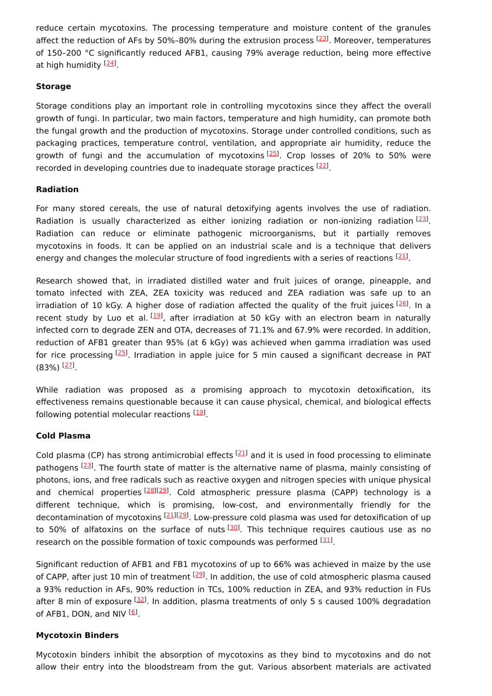reduce certain mycotoxins. The processing temperature and moisture content of the granules affect the reduction of AFs by 50%-80% during the extrusion process <sup>[[23](#page-7-15)]</sup>. Moreover, temperatures of 150–200 °C significantly reduced AFB1, causing 79% average reduction, being more effective at high humidity <sup>[<u>24</u>]</sup>.

#### **Storage**

Storage conditions play an important role in controlling mycotoxins since they affect the overall growth of fungi. In particular, two main factors, temperature and high humidity, can promote both the fungal growth and the production of mycotoxins. Storage under controlled conditions, such as packaging practices, temperature control, ventilation, and appropriate air humidity, reduce the growth of fungi and the accumulation of mycotoxins<sup>[[25](#page-7-17)]</sup>. Crop losses of 20% to 50% were recorded in developing countries due to inadequate storage practices [[22](#page-7-14)].

#### **Radiation**

For many stored cereals, the use of natural detoxifying agents involves the use of radiation. Radiation is usually characterized as either ionizing radiation or non-ionizing radiation  $^{[23]}$  $^{[23]}$  $^{[23]}$ . Radiation can reduce or eliminate pathogenic microorganisms, but it partially removes mycotoxins in foods. It can be applied on an industrial scale and is a technique that delivers energy and changes the molecular structure of food ingredients with a series of reactions  $^{[21]}$  $^{[21]}$  $^{[21]}$ .

Research showed that, in irradiated distilled water and fruit juices of orange, pineapple, and tomato infected with ZEA, ZEA toxicity was reduced and ZEA radiation was safe up to an irradiation of 10 kGy. A higher dose of radiation affected the quality of the fruit juices [\[26](#page-7-18)]. In a recent study by Luo et al. <sup>[\[19](#page-7-11)]</sup>, after irradiation at 50 kGy with an electron beam in naturally infected corn to degrade ZEN and OTA, decreases of 71.1% and 67.9% were recorded. In addition, reduction of AFB1 greater than 95% (at 6 kGy) was achieved when gamma irradiation was used for rice processing [\[25\]](#page-7-17). Irradiation in apple juice for 5 min caused a significant decrease in PAT (83%) <sup>[<u>27</u>]</sup>.

While radiation was proposed as a promising approach to mycotoxin detoxification, its effectiveness remains questionable because it can cause physical, chemical, and biological effects following potential molecular reactions [\[19](#page-7-11)].

#### **Cold Plasma**

Cold plasma (CP) has strong antimicrobial effects  $[21]$  $[21]$  and it is used in food processing to eliminate pathogens <a>[\[23](#page-7-15)]</a>. The fourth state of matter is the alternative name of plasma, mainly consisting of photons, ions, and free radicals such as reactive oxygen and nitrogen species with unique physical and chemical properties<sup>[\[28](#page-8-1)][\[29](#page-8-2)]</sup>. Cold atmospheric pressure plasma (CAPP) technology is a different technique, which is promising, low-cost, and environmentally friendly for the decontamination of mycotoxins [\[21](#page-7-13)][\[29](#page-8-2)]. Low-pressure cold plasma was used for detoxification of up to 50% of alfatoxins on the surface of nuts<sup>[[30](#page-8-3)]</sup>. This technique requires cautious use as no research on the possible formation of toxic compounds was performed [\[31](#page-8-4)].

Significant reduction of AFB1 and FB1 mycotoxins of up to 66% was achieved in maize by the use of CAPP, after just 10 min of treatment <sup>[[29](#page-8-2)]</sup>. In addition, the use of cold atmospheric plasma caused a 93% reduction in AFs, 90% reduction in TCs, 100% reduction in ZEA, and 93% reduction in FUs after 8 min of exposure <sup>[\[32](#page-8-5)]</sup>. In addition, plasma treatments of only 5 s caused 100% degradation of AFB1, DON, and NIV <sup>[\[6](#page-6-5)]</sup>.

#### **Mycotoxin Binders**

Mycotoxin binders inhibit the absorption of mycotoxins as they bind to mycotoxins and do not allow their entry into the bloodstream from the gut. Various absorbent materials are activated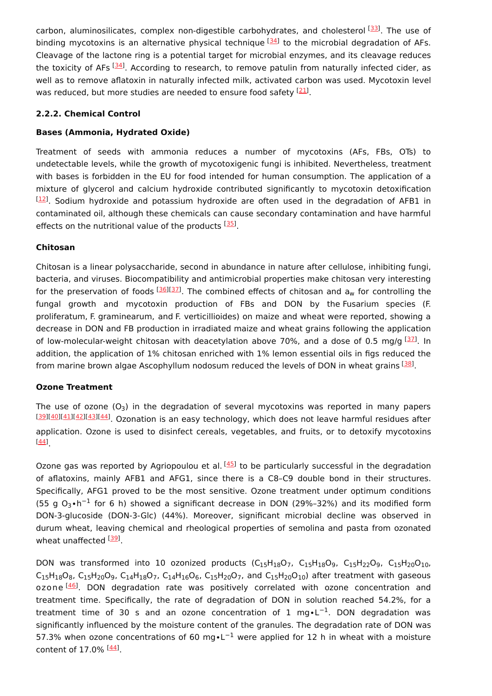carbon, aluminosilicates, complex non-digestible carbohydrates, and cholesterol [[33](#page-8-6)]. The use of binding mycotoxins is an alternative physical technique <sup>[[34](#page-8-7)]</sup> to the microbial degradation of AFs. Cleavage of the lactone ring is a potential target for microbial enzymes, and its cleavage reduces the toxicity of AFs [[34\]](#page-8-7). According to research, to remove patulin from naturally infected cider, as well as to remove aflatoxin in naturally infected milk, activated carbon was used. Mycotoxin level was reduced, but more studies are needed to ensure food safety <sup>[[21](#page-7-13)]</sup>.

#### **2.2.2. Chemical Control**

#### **Bases (Ammonia, Hydrated Oxide)**

Treatment of seeds with ammonia reduces a number of mycotoxins (AFs, FBs, OTs) to undetectable levels, while the growth of mycotoxigenic fungi is inhibited. Nevertheless, treatment with bases is forbidden in the EU for food intended for human consumption. The application of a mixture of glycerol and calcium hydroxide contributed significantly to mycotoxin detoxification  $[12]$ . Sodium hydroxide and potassium hydroxide are often used in the degradation of AFB1 in contaminated oil, although these chemicals can cause secondary contamination and have harmful effects on the nutritional value of the products [[35\]](#page-8-8).

#### **Chitosan**

Chitosan is a linear polysaccharide, second in abundance in nature after cellulose, inhibiting fungi, bacteria, and viruses. Biocompatibility and antimicrobial properties make chitosan very interesting for the preservation of foods  $^{[36][37]}$  $^{[36][37]}$  $^{[36][37]}$  $^{[36][37]}$  $^{[36][37]}$ . The combined effects of chitosan and  $\mathsf{a}_\mathsf{w}$  for controlling the fungal growth and mycotoxin production of FBs and DON by the Fusarium species (F. proliferatum, F. graminearum, and F. verticillioides) on maize and wheat were reported, showing a decrease in DON and FB production in irradiated maize and wheat grains following the application of low-molecular-weight chitosan with deacetylation above 70%, and a dose of 0.5 mg/g [\[37](#page-8-10)]. In addition, the application of 1% chitosan enriched with 1% lemon essential oils in figs reduced the from marine brown algae Ascophyllum nodosum reduced the levels of DON in wheat grains <a>[\[38](#page-8-11)]</a>.

#### **Ozone Treatment**

The use of ozone (O<sub>3</sub>) in the degradation of several mycotoxins was reported in many papers [\[39\]](#page-8-12)[[40](#page-8-13)][\[41\]](#page-8-14)[[42](#page-8-15)][\[43\]](#page-9-0)[[44](#page-9-1)]. Ozonation is an easy technology, which does not leave harmful residues after application. Ozone is used to disinfect cereals, vegetables, and fruits, or to detoxify mycotoxins . [\[44\]](#page-9-1)

Ozone gas was reported by Agriopoulou et al. <sup>[[45\]](#page-9-2)</sup> to be particularly successful in the degradation of aflatoxins, mainly AFB1 and AFG1, since there is a C8–C9 double bond in their structures. Specifically, AFG1 proved to be the most sensitive. Ozone treatment under optimum conditions (55 g O<sub>3</sub>•h<sup>-1</sup> for 6 h) showed a significant decrease in DON (29%–32%) and its modified form DON-3-glucoside (DON-3-Glc) (44%). Moreover, significant microbial decline was observed in durum wheat, leaving chemical and rheological properties of semolina and pasta from ozonated wheat unaffected <sup>[[39](#page-8-12)]</sup>.

DON was transformed into 10 ozonized products ( $C_{15}H_{18}O_7$ ,  $C_{15}H_{18}O_9$ ,  $C_{15}H_{22}O_9$ ,  $C_{15}H_{20}O_{10}$ ,  $\mathsf{C}_{15}\mathsf{H}_{18}\mathsf{O}_8$ ,  $\mathsf{C}_{15}\mathsf{H}_{20}\mathsf{O}_9$ ,  $\mathsf{C}_{14}\mathsf{H}_{18}\mathsf{O}_7$ ,  $\mathsf{C}_{14}\mathsf{H}_{16}\mathsf{O}_6$ ,  $\mathsf{C}_{15}\mathsf{H}_{20}\mathsf{O}_7$ , and  $\mathsf{C}_{15}\mathsf{H}_{20}\mathsf{O}_{10}$ ) after treatment with gaseous ozone <sup>[\[46\]](#page-9-3)</sup>. DON degradation rate was positively correlated with ozone concentration and treatment time. Specifically, the rate of degradation of DON in solution reached 54.2%, for a treatment time of 30 s and an ozone concentration of 1 mg•L<sup>-1</sup>. DON degradation was significantly influenced by the moisture content of the granules. The degradation rate of DON was 57.3% when ozone concentrations of 60 mg•L<sup>-1</sup> were applied for 12 h in wheat with a moisture content of 17.0% <sup>[<u>44</u>]</sup>.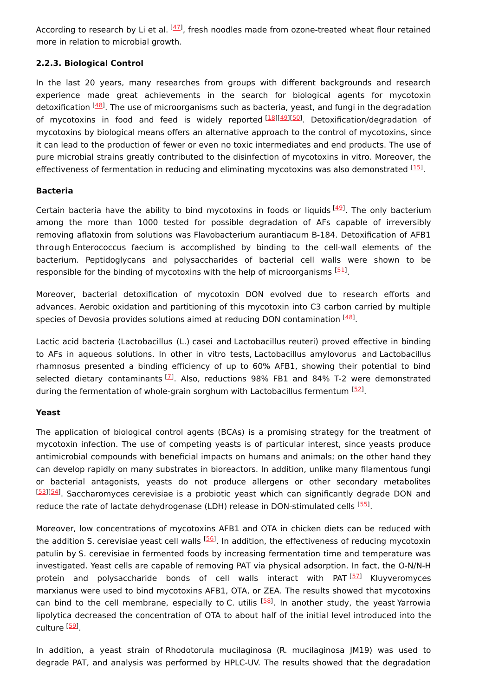According to research by Li et al. <sup>[\[47](#page-9-4)]</sup>, fresh noodles made from ozone-treated wheat flour retained more in relation to microbial growth.

#### **2.2.3. Biological Control**

In the last 20 years, many researches from groups with different backgrounds and research experience made great achievements in the search for biological agents for mycotoxin detoxification [[48\]](#page-9-5). The use of microorganisms such as bacteria, yeast, and fungi in the degradation of mycotoxins in food and feed is widely reported [\[18](#page-7-10)][\[49](#page-9-6)][\[50](#page-9-7)]. Detoxification/degradation of mycotoxins by biological means offers an alternative approach to the control of mycotoxins, since it can lead to the production of fewer or even no toxic intermediates and end products. The use of pure microbial strains greatly contributed to the disinfection of mycotoxins in vitro. Moreover, the effectiveness of fermentation in reducing and eliminating mycotoxins was also demonstrated [[15](#page-7-7)].

#### **Bacteria**

Certain bacteria have the ability to bind mycotoxins in foods or liquids [\[49](#page-9-6)]. The only bacterium among the more than 1000 tested for possible degradation of AFs capable of irreversibly removing aflatoxin from solutions was Flavobacterium aurantiacum B-184. Detoxification of AFB1 through Enterococcus faecium is accomplished by binding to the cell-wall elements of the bacterium. Peptidoglycans and polysaccharides of bacterial cell walls were shown to be responsible for the binding of mycotoxins with the help of microorganisms [\[51](#page-9-8)].

Moreover, bacterial detoxification of mycotoxin DON evolved due to research efforts and advances. Aerobic oxidation and partitioning of this mycotoxin into C3 carbon carried by multiple species of Devosia provides solutions aimed at reducing DON contamination  $^{[48]}$  $^{[48]}$  $^{[48]}$ .

Lactic acid bacteria (Lactobacillus (L.) casei and Lactobacillus reuteri) proved effective in binding to AFs in aqueous solutions. In other in vitro tests, Lactobacillus amylovorus and Lactobacillus rhamnosus presented a binding efficiency of up to 60% AFB1, showing their potential to bind selected dietary contaminants <sup>[\[7](#page-6-6)]</sup>. Also, reductions 98% FB1 and 84% T-2 were demonstrated during the fermentation of whole-grain sorghum with Lactobacillus fermentum [[52](#page-9-9)].

#### **Yeast**

The application of biological control agents (BCAs) is a promising strategy for the treatment of mycotoxin infection. The use of competing yeasts is of particular interest, since yeasts produce antimicrobial compounds with beneficial impacts on humans and animals; on the other hand they can develop rapidly on many substrates in bioreactors. In addition, unlike many filamentous fungi or bacterial antagonists, yeasts do not produce allergens or other secondary metabolites [\[53\]](#page-9-10)[[54](#page-9-11)]. Saccharomyces cerevisiae is a probiotic yeast which can significantly degrade DON and reduce the rate of lactate dehydrogenase (LDH) release in DON-stimulated cells [\[55](#page-9-12)].

Moreover, low concentrations of mycotoxins AFB1 and OTA in chicken diets can be reduced with the addition S. cerevisiae yeast cell walls <sup>[\[56](#page-9-13)]</sup>. In addition, the effectiveness of reducing mycotoxin patulin by S. cerevisiae in fermented foods by increasing fermentation time and temperature was investigated. Yeast cells are capable of removing PAT via physical adsorption. In fact, the O-N/N-H protein and polysaccharide bonds of cell walls interact with PAT<sup>[\[57](#page-9-14)]</sup> Kluyveromyces marxianus were used to bind mycotoxins AFB1, OTA, or ZEA. The results showed that mycotoxins can bind to the cell membrane, especially to C. utilis <sup>[\[58](#page-9-15)]</sup>. In another study, the yeast Yarrowia lipolytica decreased the concentration of OTA to about half of the initial level introduced into the culture <sup>[<u>59</u>]</sup>.

In addition, a yeast strain of Rhodotorula mucilaginosa (R. mucilaginosa JM19) was used to degrade PAT, and analysis was performed by HPLC-UV. The results showed that the degradation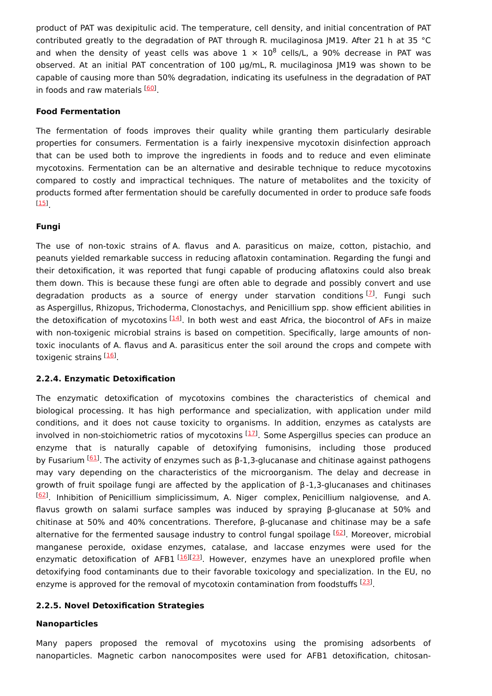product of PAT was dexipitulic acid. The temperature, cell density, and initial concentration of PAT contributed greatly to the degradation of PAT through R. mucilaginosa JM19. After 21 h at 35 °C and when the density of yeast cells was above  $1 \times 10^8$  cells/L, a 90% decrease in PAT was observed. At an initial PAT concentration of 100 μg/mL, R. mucilaginosa JM19 was shown to be capable of causing more than 50% degradation, indicating its usefulness in the degradation of PAT in foods and raw materials [\[60](#page-10-1)].

#### **Food Fermentation**

The fermentation of foods improves their quality while granting them particularly desirable properties for consumers. Fermentation is a fairly inexpensive mycotoxin disinfection approach that can be used both to improve the ingredients in foods and to reduce and even eliminate mycotoxins. Fermentation can be an alternative and desirable technique to reduce mycotoxins compared to costly and impractical techniques. The nature of metabolites and the toxicity of products formed after fermentation should be carefully documented in order to produce safe foods . [\[15\]](#page-7-7)

#### **Fungi**

The use of non-toxic strains of A. flavus and A. parasiticus on maize, cotton, pistachio, and peanuts yielded remarkable success in reducing aflatoxin contamination. Regarding the fungi and their detoxification, it was reported that fungi capable of producing aflatoxins could also break them down. This is because these fungi are often able to degrade and possibly convert and use degradation products as a source of energy under starvation conditions<sup>[[7](#page-6-6)]</sup>. Fungi such as Aspergillus, Rhizopus, Trichoderma, Clonostachys, and Penicillium spp. show efficient abilities in the detoxification of mycotoxins  $^{[\underline{14}]}$ . In both west and east Africa, the biocontrol of AFs in maize with non-toxigenic microbial strains is based on competition. Specifically, large amounts of nontoxic inoculants of A. flavus and A. parasiticus enter the soil around the crops and compete with toxigenic strains <sup>[\[16](#page-7-8)]</sup>.

#### **2.2.4. Enzymatic Detoxification**

The enzymatic detoxification of mycotoxins combines the characteristics of chemical and biological processing. It has high performance and specialization, with application under mild conditions, and it does not cause toxicity to organisms. In addition, enzymes as catalysts are involved in non-stoichiometric ratios of mycotoxins [\[17](#page-7-9)]. Some Aspergillus species can produce an enzyme that is naturally capable of detoxifying fumonisins, including those produced by Fusarium <sup>[\[61](#page-10-2)]</sup>. The activity of enzymes such as β-1,3-glucanase and chitinase against pathogens may vary depending on the characteristics of the microorganism. The delay and decrease in growth of fruit spoilage fungi are affected by the application of β-1,3-glucanases and chitinases [\[62\]](#page-10-3). Inhibition of Penicillium simplicissimum, A. Niger complex, Penicillium nalgiovense, and A. flavus growth on salami surface samples was induced by spraying β-glucanase at 50% and chitinase at 50% and 40% concentrations. Therefore, β-glucanase and chitinase may be a safe alternative for the fermented sausage industry to control fungal spoilage [[62](#page-10-3)]. Moreover, microbial manganese peroxide, oxidase enzymes, catalase, and laccase enzymes were used for the enzymatic detoxification of AFB1<sup>[[16](#page-7-8)][\[23\]](#page-7-15)</sup>. However, enzymes have an unexplored profile when detoxifying food contaminants due to their favorable toxicology and specialization. In the EU, no enzyme is approved for the removal of mycotoxin contamination from foodstuffs <sup>[\[23](#page-7-15)]</sup>.

#### **2.2.5. Novel Detoxification Strategies**

#### **Nanoparticles**

Many papers proposed the removal of mycotoxins using the promising adsorbents of nanoparticles. Magnetic carbon nanocomposites were used for AFB1 detoxification, chitosan-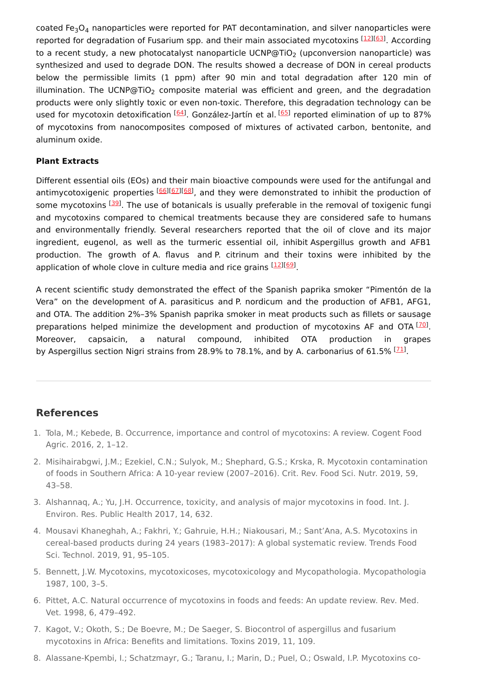coated Fe<sub>3</sub>O<sub>4</sub> nanoparticles were reported for PAT decontamination, and silver nanoparticles were reported for degradation of Fusarium spp. and their main associated mycotoxins [[12](#page-7-4)][\[63\]](#page-10-4). According to a recent study, a new photocatalyst nanoparticle UCNP@TiO $_2$  (upconversion nanoparticle) was synthesized and used to degrade DON. The results showed a decrease of DON in cereal products below the permissible limits (1 ppm) after 90 min and total degradation after 120 min of illumination. The UCNP@TiO<sub>2</sub> composite material was efficient and green, and the degradation products were only slightly toxic or even non-toxic. Therefore, this degradation technology can be used for mycotoxin detoxification [\[64](#page-10-5)]. González-Jartín et al. [\[65](#page-10-6)] reported elimination of up to 87% of mycotoxins from nanocomposites composed of mixtures of activated carbon, bentonite, and aluminum oxide.

#### **Plant Extracts**

Different essential oils (EOs) and their main bioactive compounds were used for the antifungal and antimycotoxigenic properties [\[66](#page-10-7)][\[67](#page-10-8)][\[68](#page-10-9)], and they were demonstrated to inhibit the production of some mycotoxins <a>[\[39](#page-8-12)]</a>. The use of botanicals is usually preferable in the removal of toxigenic fungi and mycotoxins compared to chemical treatments because they are considered safe to humans and environmentally friendly. Several researchers reported that the oil of clove and its major ingredient, eugenol, as well as the turmeric essential oil, inhibit Aspergillus growth and AFB1 production. The growth of A. flavus and P. citrinum and their toxins were inhibited by the application of whole clove in culture media and rice grains [[12\]](#page-7-4)[[69\]](#page-10-10).

A recent scientific study demonstrated the effect of the Spanish paprika smoker "Pimentón de la Vera" on the development of A. parasiticus and P. nordicum and the production of AFB1, AFG1, and OTA. The addition 2%–3% Spanish paprika smoker in meat products such as fillets or sausage preparations helped minimize the development and production of mycotoxins AF and OTA <sup>[\[70](#page-10-11)]</sup>. Moreover, capsaicin, a natural compound, inhibited OTA production in grapes by Aspergillus section Nigri strains from 28.9% to 78.1%, and by A. carbonarius of 61.5%  $[71]$  $[71]$ .

#### **References**

- <span id="page-6-0"></span>1. Tola, M.; Kebede, B. Occurrence, importance and control of mycotoxins: A review. Cogent Food Agric. 2016, 2, 1–12.
- <span id="page-6-1"></span>2. Misihairabgwi, J.M.; Ezekiel, C.N.; Sulyok, M.; Shephard, G.S.; Krska, R. Mycotoxin contamination of foods in Southern Africa: A 10-year review (2007–2016). Crit. Rev. Food Sci. Nutr. 2019, 59, 43–58.
- <span id="page-6-2"></span>3. Alshannaq, A.; Yu, J.H. Occurrence, toxicity, and analysis of major mycotoxins in food. Int. J. Environ. Res. Public Health 2017, 14, 632.
- <span id="page-6-3"></span>4. Mousavi Khaneghah, A.; Fakhri, Y.; Gahruie, H.H.; Niakousari, M.; Sant'Ana, A.S. Mycotoxins in cereal-based products during 24 years (1983–2017): A global systematic review. Trends Food Sci. Technol. 2019, 91, 95–105.
- <span id="page-6-4"></span>5. Bennett, J.W. Mycotoxins, mycotoxicoses, mycotoxicology and Mycopathologia. Mycopathologia 1987, 100, 3–5.
- <span id="page-6-5"></span>6. Pittet, A.C. Natural occurrence of mycotoxins in foods and feeds: An update review. Rev. Med. Vet. 1998, 6, 479–492.
- <span id="page-6-6"></span>7. Kagot, V.; Okoth, S.; De Boevre, M.; De Saeger, S. Biocontrol of aspergillus and fusarium mycotoxins in Africa: Benefits and limitations. Toxins 2019, 11, 109.
- 8. Alassane-Kpembi, I.; Schatzmayr, G.; Taranu, I.; Marin, D.; Puel, O.; Oswald, I.P. Mycotoxins co-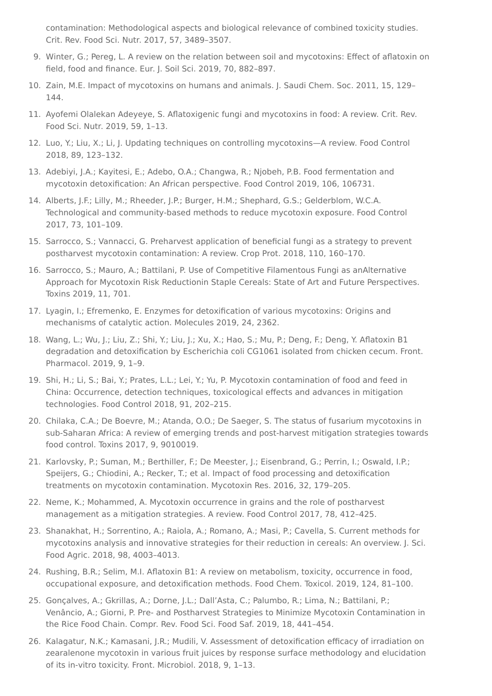<span id="page-7-0"></span>contamination: Methodological aspects and biological relevance of combined toxicity studies. Crit. Rev. Food Sci. Nutr. 2017, 57, 3489–3507.

- <span id="page-7-1"></span>9. Winter, G.; Pereg, L. A review on the relation between soil and mycotoxins: Effect of aflatoxin on field, food and finance. Eur. J. Soil Sci. 2019, 70, 882–897.
- <span id="page-7-2"></span>10. Zain, M.E. Impact of mycotoxins on humans and animals. J. Saudi Chem. Soc. 2011, 15, 129– 144.
- <span id="page-7-3"></span>11. Ayofemi Olalekan Adeyeye, S. Aflatoxigenic fungi and mycotoxins in food: A review. Crit. Rev. Food Sci. Nutr. 2019, 59, 1–13.
- <span id="page-7-4"></span>12. Luo, Y.; Liu, X.; Li, J. Updating techniques on controlling mycotoxins—A review. Food Control 2018, 89, 123–132.
- <span id="page-7-5"></span>13. Adebiyi, J.A.; Kayitesi, E.; Adebo, O.A.; Changwa, R.; Njobeh, P.B. Food fermentation and mycotoxin detoxification: An African perspective. Food Control 2019, 106, 106731.
- <span id="page-7-6"></span>14. Alberts, J.F.; Lilly, M.; Rheeder, J.P.; Burger, H.M.; Shephard, G.S.; Gelderblom, W.C.A. Technological and community-based methods to reduce mycotoxin exposure. Food Control 2017, 73, 101–109.
- <span id="page-7-7"></span>15. Sarrocco, S.; Vannacci, G. Preharvest application of beneficial fungi as a strategy to prevent postharvest mycotoxin contamination: A review. Crop Prot. 2018, 110, 160–170.
- <span id="page-7-8"></span>16. Sarrocco, S.; Mauro, A.; Battilani, P. Use of Competitive Filamentous Fungi as anAlternative Approach for Mycotoxin Risk Reductionin Staple Cereals: State of Art and Future Perspectives. Toxins 2019, 11, 701.
- <span id="page-7-9"></span>17. Lyagin, I.; Efremenko, E. Enzymes for detoxification of various mycotoxins: Origins and mechanisms of catalytic action. Molecules 2019, 24, 2362.
- <span id="page-7-10"></span>18. Wang, L.; Wu, J.; Liu, Z.; Shi, Y.; Liu, J.; Xu, X.; Hao, S.; Mu, P.; Deng, F.; Deng, Y. Aflatoxin B1 degradation and detoxification by Escherichia coli CG1061 isolated from chicken cecum. Front. Pharmacol. 2019, 9, 1–9.
- <span id="page-7-11"></span>19. Shi, H.; Li, S.; Bai, Y.; Prates, L.L.; Lei, Y.; Yu, P. Mycotoxin contamination of food and feed in China: Occurrence, detection techniques, toxicological effects and advances in mitigation technologies. Food Control 2018, 91, 202–215.
- <span id="page-7-12"></span>20. Chilaka, C.A.; De Boevre, M.; Atanda, O.O.; De Saeger, S. The status of fusarium mycotoxins in sub-Saharan Africa: A review of emerging trends and post-harvest mitigation strategies towards food control. Toxins 2017, 9, 9010019.
- <span id="page-7-13"></span>21. Karlovsky, P.; Suman, M.; Berthiller, F.; De Meester, J.; Eisenbrand, G.; Perrin, I.; Oswald, I.P.; Speijers, G.; Chiodini, A.; Recker, T.; et al. Impact of food processing and detoxification treatments on mycotoxin contamination. Mycotoxin Res. 2016, 32, 179–205.
- <span id="page-7-14"></span>22. Neme, K.; Mohammed, A. Mycotoxin occurrence in grains and the role of postharvest management as a mitigation strategies. A review. Food Control 2017, 78, 412–425.
- <span id="page-7-15"></span>23. Shanakhat, H.; Sorrentino, A.; Raiola, A.; Romano, A.; Masi, P.; Cavella, S. Current methods for mycotoxins analysis and innovative strategies for their reduction in cereals: An overview. J. Sci. Food Agric. 2018, 98, 4003–4013.
- <span id="page-7-16"></span>24. Rushing, B.R.; Selim, M.I. Aflatoxin B1: A review on metabolism, toxicity, occurrence in food, occupational exposure, and detoxification methods. Food Chem. Toxicol. 2019, 124, 81–100.
- <span id="page-7-17"></span>25. Gonçalves, A.; Gkrillas, A.; Dorne, J.L.; Dall'Asta, C.; Palumbo, R.; Lima, N.; Battilani, P.; Venâncio, A.; Giorni, P. Pre- and Postharvest Strategies to Minimize Mycotoxin Contamination in the Rice Food Chain. Compr. Rev. Food Sci. Food Saf. 2019, 18, 441–454.
- <span id="page-7-18"></span>26. Kalagatur, N.K.; Kamasani, J.R.; Mudili, V. Assessment of detoxification efficacy of irradiation on zearalenone mycotoxin in various fruit juices by response surface methodology and elucidation of its in-vitro toxicity. Front. Microbiol. 2018, 9, 1–13.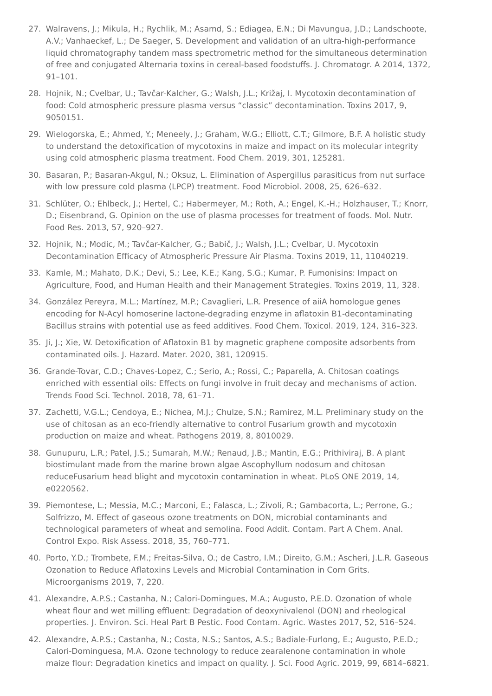- <span id="page-8-0"></span>27. Walravens, J.; Mikula, H.; Rychlik, M.; Asamd, S.; Ediagea, E.N.; Di Mavungua, J.D.; Landschoote, A.V.; Vanhaeckef, L.; De Saeger, S. Development and validation of an ultra-high-performance liquid chromatography tandem mass spectrometric method for the simultaneous determination of free and conjugated Alternaria toxins in cereal-based foodstuffs. J. Chromatogr. A 2014, 1372, 91–101.
- <span id="page-8-1"></span>28. Hojnik, N.; Cvelbar, U.; Tavčar-Kalcher, G.; Walsh, J.L.; Križaj, I. Mycotoxin decontamination of food: Cold atmospheric pressure plasma versus "classic" decontamination. Toxins 2017, 9, 9050151.
- <span id="page-8-2"></span>29. Wielogorska, E.; Ahmed, Y.; Meneely, J.; Graham, W.G.; Elliott, C.T.; Gilmore, B.F. A holistic study to understand the detoxification of mycotoxins in maize and impact on its molecular integrity using cold atmospheric plasma treatment. Food Chem. 2019, 301, 125281.
- <span id="page-8-3"></span>30. Basaran, P.; Basaran-Akgul, N.; Oksuz, L. Elimination of Aspergillus parasiticus from nut surface with low pressure cold plasma (LPCP) treatment. Food Microbiol. 2008, 25, 626–632.
- <span id="page-8-4"></span>31. Schlüter, O.; Ehlbeck, J.; Hertel, C.; Habermeyer, M.; Roth, A.; Engel, K.-H.; Holzhauser, T.; Knorr, D.; Eisenbrand, G. Opinion on the use of plasma processes for treatment of foods. Mol. Nutr. Food Res. 2013, 57, 920–927.
- <span id="page-8-5"></span>32. Hojnik, N.; Modic, M.; Tavčar-Kalcher, G.; Babič, J.; Walsh, J.L.; Cvelbar, U. Mycotoxin Decontamination Efficacy of Atmospheric Pressure Air Plasma. Τoxins 2019, 11, 11040219.
- <span id="page-8-6"></span>33. Kamle, M.; Mahato, D.K.; Devi, S.; Lee, K.E.; Kang, S.G.; Kumar, P. Fumonisins: Impact on Agriculture, Food, and Human Health and their Management Strategies. Toxins 2019, 11, 328.
- <span id="page-8-7"></span>34. González Pereyra, M.L.; Martínez, M.P.; Cavaglieri, L.R. Presence of aiiA homologue genes encoding for N-Acyl homoserine lactone-degrading enzyme in aflatoxin B1-decontaminating Bacillus strains with potential use as feed additives. Food Chem. Toxicol. 2019, 124, 316–323.
- <span id="page-8-8"></span>35. Ji, J.; Xie, W. Detoxification of Aflatoxin B1 by magnetic graphene composite adsorbents from contaminated oils. J. Hazard. Mater. 2020, 381, 120915.
- <span id="page-8-9"></span>36. Grande-Tovar, C.D.; Chaves-Lopez, C.; Serio, A.; Rossi, C.; Paparella, A. Chitosan coatings enriched with essential oils: Effects on fungi involve in fruit decay and mechanisms of action. Trends Food Sci. Technol. 2018, 78, 61–71.
- <span id="page-8-10"></span>37. Zachetti, V.G.L.; Cendoya, E.; Nichea, M.J.; Chulze, S.N.; Ramirez, M.L. Preliminary study on the use of chitosan as an eco-friendly alternative to control Fusarium growth and mycotoxin production on maize and wheat. Pathogens 2019, 8, 8010029.
- <span id="page-8-11"></span>38. Gunupuru, L.R.; Patel, J.S.; Sumarah, M.W.; Renaud, J.B.; Mantin, E.G.; Prithiviraj, B. A plant biostimulant made from the marine brown algae Ascophyllum nodosum and chitosan reduceFusarium head blight and mycotoxin contamination in wheat. PLoS ONE 2019, 14, e0220562.
- <span id="page-8-12"></span>39. Piemontese, L.; Messia, M.C.; Marconi, E.; Falasca, L.; Zivoli, R.; Gambacorta, L.; Perrone, G.; Solfrizzo, M. Effect of gaseous ozone treatments on DON, microbial contaminants and technological parameters of wheat and semolina. Food Addit. Contam. Part A Chem. Anal. Control Expo. Risk Assess. 2018, 35, 760–771.
- <span id="page-8-13"></span>40. Porto, Y.D.; Trombete, F.M.; Freitas-Silva, O.; de Castro, I.M.; Direito, G.M.; Ascheri, J.L.R. Gaseous Ozonation to Reduce Aflatoxins Levels and Microbial Contamination in Corn Grits. Microorganisms 2019, 7, 220.
- <span id="page-8-14"></span>41. Alexandre, A.P.S.; Castanha, N.; Calori-Domingues, M.A.; Augusto, P.E.D. Ozonation of whole wheat flour and wet milling effluent: Degradation of deoxynivalenol (DON) and rheological properties. J. Environ. Sci. Heal Part B Pestic. Food Contam. Agric. Wastes 2017, 52, 516–524.
- <span id="page-8-15"></span>42. Alexandre, A.P.S.; Castanha, N.; Costa, N.S.; Santos, A.S.; Badiale-Furlong, E.; Augusto, P.E.D.; Calori-Dominguesa, M.A. Ozone technology to reduce zearalenone contamination in whole maize flour: Degradation kinetics and impact on quality. J. Sci. Food Agric. 2019, 99, 6814–6821.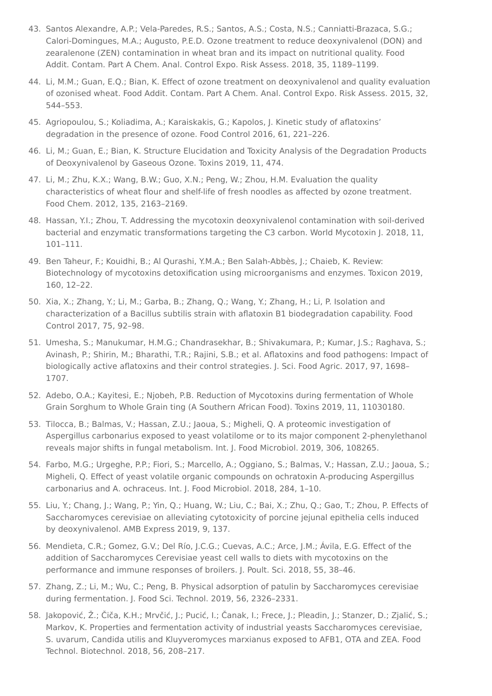- <span id="page-9-0"></span>43. Santos Alexandre, A.P.; Vela-Paredes, R.S.; Santos, A.S.; Costa, N.S.; Canniatti-Brazaca, S.G.; Calori-Domingues, M.A.; Augusto, P.E.D. Ozone treatment to reduce deoxynivalenol (DON) and zearalenone (ZEN) contamination in wheat bran and its impact on nutritional quality. Food Addit. Contam. Part A Chem. Anal. Control Expo. Risk Assess. 2018, 35, 1189–1199.
- <span id="page-9-1"></span>44. Li, M.M.; Guan, E.Q.; Bian, K. Effect of ozone treatment on deoxynivalenol and quality evaluation of ozonised wheat. Food Addit. Contam. Part A Chem. Anal. Control Expo. Risk Assess. 2015, 32, 544–553.
- <span id="page-9-2"></span>45. Agriopoulou, S.; Koliadima, A.; Karaiskakis, G.; Kapolos, J. Kinetic study of aflatoxins' degradation in the presence of ozone. Food Control 2016, 61, 221–226.
- <span id="page-9-3"></span>46. Li, M.; Guan, E.; Bian, K. Structure Elucidation and Toxicity Analysis of the Degradation Products of Deoxynivalenol by Gaseous Ozone. Toxins 2019, 11, 474.
- <span id="page-9-4"></span>47. Li, M.; Zhu, K.X.; Wang, B.W.; Guo, X.N.; Peng, W.; Zhou, H.M. Evaluation the quality characteristics of wheat flour and shelf-life of fresh noodles as affected by ozone treatment. Food Chem. 2012, 135, 2163–2169.
- <span id="page-9-5"></span>48. Hassan, Y.I.; Zhou, T. Addressing the mycotoxin deoxynivalenol contamination with soil-derived bacterial and enzymatic transformations targeting the C3 carbon. World Mycotoxin J. 2018, 11, 101–111.
- <span id="page-9-6"></span>49. Ben Taheur, F.; Kouidhi, B.; Al Qurashi, Y.M.A.; Ben Salah-Abbès, J.; Chaieb, K. Review: Biotechnology of mycotoxins detoxification using microorganisms and enzymes. Toxicon 2019, 160, 12–22.
- <span id="page-9-7"></span>50. Xia, X.; Zhang, Y.; Li, M.; Garba, B.; Zhang, Q.; Wang, Y.; Zhang, H.; Li, P. Isolation and characterization of a Bacillus subtilis strain with aflatoxin B1 biodegradation capability. Food Control 2017, 75, 92–98.
- <span id="page-9-8"></span>51. Umesha, S.; Manukumar, H.M.G.; Chandrasekhar, B.; Shivakumara, P.; Kumar, J.S.; Raghava, S.; Avinash, P.; Shirin, M.; Bharathi, T.R.; Rajini, S.B.; et al. Aflatoxins and food pathogens: Impact of biologically active aflatoxins and their control strategies. J. Sci. Food Agric. 2017, 97, 1698– 1707.
- <span id="page-9-9"></span>52. Adebo, O.A.; Kayitesi, E.; Njobeh, P.B. Reduction of Mycotoxins during fermentation of Whole Grain Sorghum to Whole Grain ting (A Southern African Food). Toxins 2019, 11, 11030180.
- <span id="page-9-10"></span>53. Tilocca, B.; Balmas, V.; Hassan, Z.U.; Jaoua, S.; Migheli, Q. A proteomic investigation of Aspergillus carbonarius exposed to yeast volatilome or to its major component 2-phenylethanol reveals major shifts in fungal metabolism. Int. J. Food Microbiol. 2019, 306, 108265.
- <span id="page-9-11"></span>54. Farbo, M.G.; Urgeghe, P.P.; Fiori, S.; Marcello, A.; Oggiano, S.; Balmas, V.; Hassan, Z.U.; Jaoua, S.; Migheli, Q. Effect of yeast volatile organic compounds on ochratoxin A-producing Aspergillus carbonarius and A. ochraceus. Int. J. Food Microbiol. 2018, 284, 1–10.
- <span id="page-9-12"></span>55. Liu, Y.; Chang, J.; Wang, P.; Yin, Q.; Huang, W.; Liu, C.; Bai, X.; Zhu, Q.; Gao, T.; Zhou, P. Effects of Saccharomyces cerevisiae on alleviating cytotoxicity of porcine jejunal epithelia cells induced by deoxynivalenol. AMB Express 2019, 9, 137.
- <span id="page-9-13"></span>56. Mendieta, C.R.; Gomez, G.V.; Del Río, J.C.G.; Cuevas, A.C.; Arce, J.M.; Ávila, E.G. Effect of the addition of Saccharomyces Cerevisiae yeast cell walls to diets with mycotoxins on the performance and immune responses of broilers. J. Poult. Sci. 2018, 55, 38–46.
- <span id="page-9-14"></span>57. Zhang, Z.; Li, M.; Wu, C.; Peng, B. Physical adsorption of patulin by Saccharomyces cerevisiae during fermentation. J. Food Sci. Technol. 2019, 56, 2326–2331.
- <span id="page-9-15"></span>58. Jakopović, Ž.; Čiča, K.H.; Mrvčić, J.; Pucić, I.; Čanak, I.; Frece, J.; Pleadin, J.; Stanzer, D.; Zjalić, S.; Markov, K. Properties and fermentation activity of industrial yeasts Saccharomyces cerevisiae, S. uvarum, Candida utilis and Kluyveromyces marxianus exposed to AFB1, OTA and ZEA. Food Technol. Biotechnol. 2018, 56, 208–217.